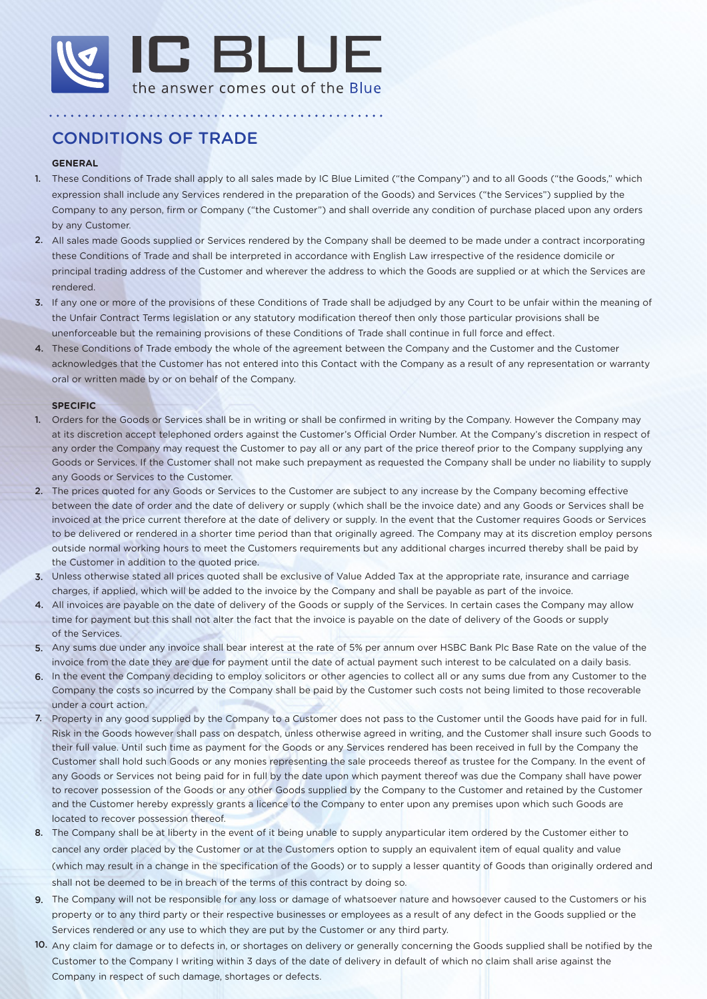

## CONDITIONS OF TRADE

## **GENERAL**

1. These Conditions of Trade shall apply to all sales made by IC Blue Limited ("the Company") and to all Goods ("the Goods," which expression shall include any Services rendered in the preparation of the Goods) and Services ("the Services") supplied by the Company to any person, firm or Company ("the Customer") and shall override any condition of purchase placed upon any orders by any Customer.

- 2. All sales made Goods supplied or Services rendered by the Company shall be deemed to be made under a contract incorporating these Conditions of Trade and shall be interpreted in accordance with English Law irrespective of the residence domicile or principal trading address of the Customer and wherever the address to which the Goods are supplied or at which the Services are rendered.
- 3. If any one or more of the provisions of these Conditions of Trade shall be adjudged by any Court to be unfair within the meaning of the Unfair Contract Terms legislation or any statutory modification thereof then only those particular provisions shall be unenforceable but the remaining provisions of these Conditions of Trade shall continue in full force and effect.
- 4. These Conditions of Trade embody the whole of the agreement between the Company and the Customer and the Customer acknowledges that the Customer has not entered into this Contact with the Company as a result of any representation or warranty oral or written made by or on behalf of the Company.

## **SPECIFIC**

- 1. Orders for the Goods or Services shall be in writing or shall be confirmed in writing by the Company. However the Company may at its discretion accept telephoned orders against the Customer's Official Order Number. At the Company's discretion in respect of any order the Company may request the Customer to pay all or any part of the price thereof prior to the Company supplying any Goods or Services. If the Customer shall not make such prepayment as requested the Company shall be under no liability to supply any Goods or Services to the Customer.
- 2. The prices quoted for any Goods or Services to the Customer are subject to any increase by the Company becoming effective between the date of order and the date of delivery or supply (which shall be the invoice date) and any Goods or Services shall be invoiced at the price current therefore at the date of delivery or supply. In the event that the Customer requires Goods or Services to be delivered or rendered in a shorter time period than that originally agreed. The Company may at its discretion employ persons outside normal working hours to meet the Customers requirements but any additional charges incurred thereby shall be paid by the Customer in addition to the quoted price.
- 3. Unless otherwise stated all prices quoted shall be exclusive of Value Added Tax at the appropriate rate, insurance and carriage charges, if applied, which will be added to the invoice by the Company and shall be payable as part of the invoice.
- 4. All invoices are payable on the date of delivery of the Goods or supply of the Services. In certain cases the Company may allow time for payment but this shall not alter the fact that the invoice is payable on the date of delivery of the Goods or supply of the Services.
- 5. Any sums due under any invoice shall bear interest at the rate of 5% per annum over HSBC Bank Plc Base Rate on the value of the invoice from the date they are due for payment until the date of actual payment such interest to be calculated on a daily basis.
- 6. In the event the Company deciding to employ solicitors or other agencies to collect all or any sums due from any Customer to the Company the costs so incurred by the Company shall be paid by the Customer such costs not being limited to those recoverable under a court action.
- 7. Property in any good supplied by the Company to a Customer does not pass to the Customer until the Goods have paid for in full. Risk in the Goods however shall pass on despatch, unless otherwise agreed in writing, and the Customer shall insure such Goods to their full value. Until such time as payment for the Goods or any Services rendered has been received in full by the Company the Customer shall hold such Goods or any monies representing the sale proceeds thereof as trustee for the Company. In the event of any Goods or Services not being paid for in full by the date upon which payment thereof was due the Company shall have power to recover possession of the Goods or any other Goods supplied by the Company to the Customer and retained by the Customer and the Customer hereby expressly grants a licence to the Company to enter upon any premises upon which such Goods are located to recover possession thereof.
- 8. The Company shall be at liberty in the event of it being unable to supply anyparticular item ordered by the Customer either to cancel any order placed by the Customer or at the Customers option to supply an equivalent item of equal quality and value (which may result in a change in the specification of the Goods) or to supply a lesser quantity of Goods than originally ordered and shall not be deemed to be in breach of the terms of this contract by doing so.
- 9. The Company will not be responsible for any loss or damage of whatsoever nature and howsoever caused to the Customers or his property or to any third party or their respective businesses or employees as a result of any defect in the Goods supplied or the Services rendered or any use to which they are put by the Customer or any third party.
- 10. Any claim for damage or to defects in, or shortages on delivery or generally concerning the Goods supplied shall be notified by the Customer to the Company I writing within 3 days of the date of delivery in default of which no claim shall arise against the Company in respect of such damage, shortages or defects.